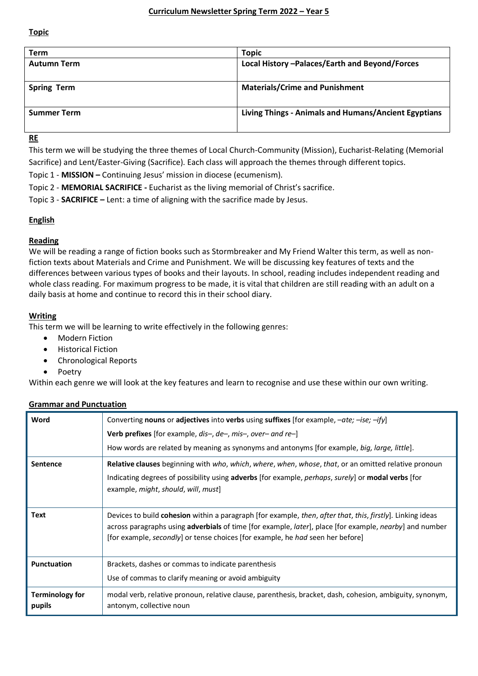**Topic**

| Term               | <b>Topic</b>                                         |
|--------------------|------------------------------------------------------|
| <b>Autumn Term</b> | Local History - Palaces/Earth and Beyond/Forces      |
| <b>Spring Term</b> | <b>Materials/Crime and Punishment</b>                |
| <b>Summer Term</b> | Living Things - Animals and Humans/Ancient Egyptians |

**RE**

This term we will be studying the three themes of Local Church-Community (Mission), Eucharist-Relating (Memorial Sacrifice) and Lent/Easter-Giving (Sacrifice). Each class will approach the themes through different topics.

Topic 1 - **MISSION –** Continuing Jesus' mission in diocese (ecumenism).

Topic 2 - **MEMORIAL SACRIFICE -** Eucharist as the living memorial of Christ's sacrifice.

Topic 3 - **SACRIFICE –** Lent: a time of aligning with the sacrifice made by Jesus.

# **English**

## **Reading**

We will be reading a range of fiction books such as Stormbreaker and My Friend Walter this term, as well as nonfiction texts about Materials and Crime and Punishment. We will be discussing key features of texts and the differences between various types of books and their layouts. In school, reading includes independent reading and whole class reading. For maximum progress to be made, it is vital that children are still reading with an adult on a daily basis at home and continue to record this in their school diary.

# **Writing**

This term we will be learning to write effectively in the following genres:

- Modern Fiction
- Historical Fiction
- Chronological Reports
- Poetry

Within each genre we will look at the key features and learn to recognise and use these within our own writing.

## **Grammar and Punctuation**

| Word                             | Converting nouns or adjectives into verbs using suffixes [for example, $-\alpha t e$ ; $-i s e$ ; $-i f y$ ]                                                                                                                                                                                                           |
|----------------------------------|------------------------------------------------------------------------------------------------------------------------------------------------------------------------------------------------------------------------------------------------------------------------------------------------------------------------|
|                                  | <b>Verb prefixes</b> [for example, dis-, de-, mis-, over- and re-]                                                                                                                                                                                                                                                     |
|                                  | How words are related by meaning as synonyms and antonyms [for example, big, large, little].                                                                                                                                                                                                                           |
| <b>Sentence</b>                  | <b>Relative clauses</b> beginning with <i>who, which, where, when, whose, that,</i> or an omitted relative pronoun<br>Indicating degrees of possibility using adverbs [for example, <i>perhaps</i> , surely] or <b>modal verbs</b> [for<br>example, might, should, will, must                                          |
| Text                             | Devices to build cohesion within a paragraph [for example, then, after that, this, firstly]. Linking ideas<br>across paragraphs using adverbials of time [for example, later], place [for example, nearby] and number<br>[for example, <i>secondly</i> ] or tense choices [for example, he <i>had</i> seen her before] |
| <b>Punctuation</b>               | Brackets, dashes or commas to indicate parenthesis                                                                                                                                                                                                                                                                     |
|                                  | Use of commas to clarify meaning or avoid ambiguity                                                                                                                                                                                                                                                                    |
| <b>Terminology for</b><br>pupils | modal verb, relative pronoun, relative clause, parenthesis, bracket, dash, cohesion, ambiguity, synonym,<br>antonym, collective noun                                                                                                                                                                                   |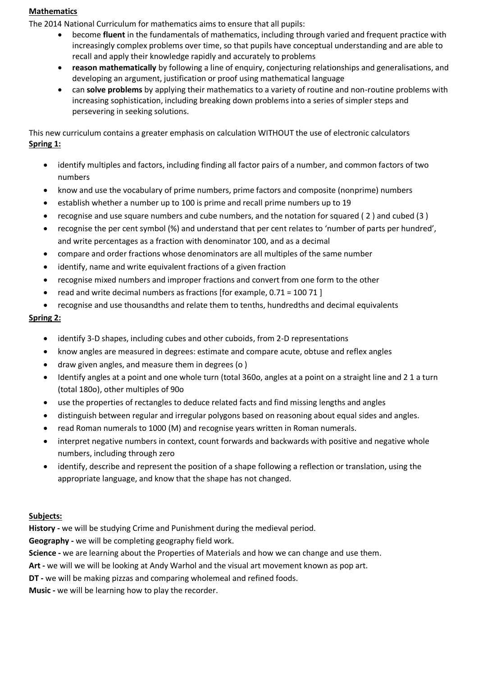#### **Mathematics**

The 2014 National Curriculum for mathematics aims to ensure that all pupils:

- become **fluent** in the fundamentals of mathematics, including through varied and frequent practice with increasingly complex problems over time, so that pupils have conceptual understanding and are able to recall and apply their knowledge rapidly and accurately to problems
- **reason mathematically** by following a line of enquiry, conjecturing relationships and generalisations, and developing an argument, justification or proof using mathematical language
- can **solve problems** by applying their mathematics to a variety of routine and non-routine problems with increasing sophistication, including breaking down problems into a series of simpler steps and persevering in seeking solutions.

This new curriculum contains a greater emphasis on calculation WITHOUT the use of electronic calculators **Spring 1:**

- identify multiples and factors, including finding all factor pairs of a number, and common factors of two numbers
- know and use the vocabulary of prime numbers, prime factors and composite (nonprime) numbers
- establish whether a number up to 100 is prime and recall prime numbers up to 19
- recognise and use square numbers and cube numbers, and the notation for squared ( 2 ) and cubed (3 )
- recognise the per cent symbol (%) and understand that per cent relates to 'number of parts per hundred', and write percentages as a fraction with denominator 100, and as a decimal
- compare and order fractions whose denominators are all multiples of the same number
- identify, name and write equivalent fractions of a given fraction
- recognise mixed numbers and improper fractions and convert from one form to the other
- read and write decimal numbers as fractions [for example, 0.71 = 100 71 ]
- recognise and use thousandths and relate them to tenths, hundredths and decimal equivalents

# **Spring 2:**

- identify 3-D shapes, including cubes and other cuboids, from 2-D representations
- know angles are measured in degrees: estimate and compare acute, obtuse and reflex angles
- draw given angles, and measure them in degrees (o )
- Identify angles at a point and one whole turn (total 360o, angles at a point on a straight line and 2 1 a turn (total 180o), other multiples of 90o
- use the properties of rectangles to deduce related facts and find missing lengths and angles
- distinguish between regular and irregular polygons based on reasoning about equal sides and angles.
- read Roman numerals to 1000 (M) and recognise years written in Roman numerals.
- interpret negative numbers in context, count forwards and backwards with positive and negative whole numbers, including through zero
- identify, describe and represent the position of a shape following a reflection or translation, using the appropriate language, and know that the shape has not changed.

# **Subjects:**

**History -** we will be studying Crime and Punishment during the medieval period.

**Geography -** we will be completing geography field work.

**Science -** we are learning about the Properties of Materials and how we can change and use them.

**Art -** we will we will be looking at Andy Warhol and the visual art movement known as pop art.

**DT -** we will be making pizzas and comparing wholemeal and refined foods.

**Music -** we will be learning how to play the recorder.